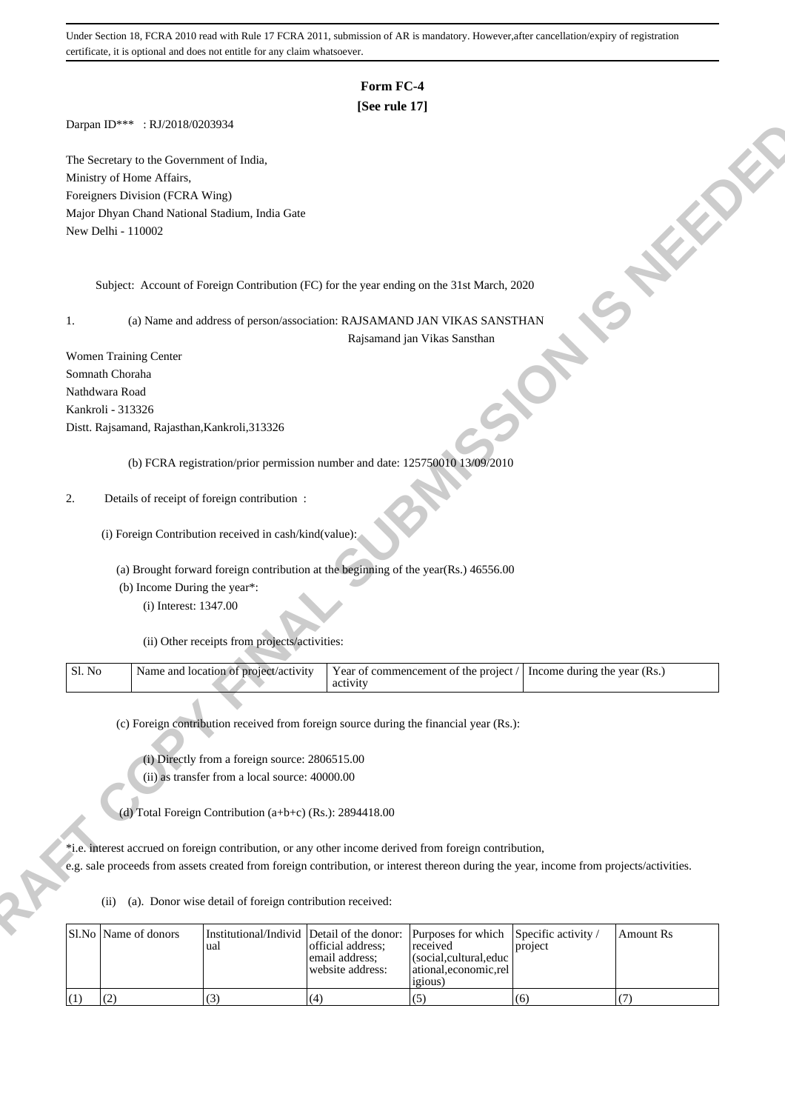## **Form FC-4**

### **[See rule 17]**

Darpan ID\*\*\* : RJ/2018/0203934

- (a) Brought forward foreign contribution at the beginning of the year(Rs.) 46556.00
- (b) Income During the year\*:
	- (i) Interest: 1347.00

| Sl. No | Name and<br>. project/activity<br>. location of | . commencement of the project<br>Year of U<br>activity | Income during the year<br>(Rs. |
|--------|-------------------------------------------------|--------------------------------------------------------|--------------------------------|
|        |                                                 |                                                        |                                |

|        | The Secretary to the Government of India,                                                                                               |                                                                                        |                                     |                                       |                              |                  |
|--------|-----------------------------------------------------------------------------------------------------------------------------------------|----------------------------------------------------------------------------------------|-------------------------------------|---------------------------------------|------------------------------|------------------|
|        | Ministry of Home Affairs,                                                                                                               |                                                                                        |                                     |                                       |                              |                  |
|        | Foreigners Division (FCRA Wing)                                                                                                         |                                                                                        |                                     |                                       |                              |                  |
|        | Major Dhyan Chand National Stadium, India Gate                                                                                          |                                                                                        |                                     |                                       |                              |                  |
|        | New Delhi - 110002                                                                                                                      |                                                                                        |                                     |                                       |                              |                  |
|        |                                                                                                                                         |                                                                                        |                                     |                                       |                              |                  |
|        | Subject: Account of Foreign Contribution (FC) for the year ending on the 31st March, 2020                                               |                                                                                        |                                     |                                       |                              |                  |
|        |                                                                                                                                         |                                                                                        |                                     |                                       |                              |                  |
| 1.     |                                                                                                                                         | (a) Name and address of person/association: RAJSAMAND JAN VIKAS SANSTHAN               |                                     |                                       |                              |                  |
|        |                                                                                                                                         |                                                                                        |                                     | Rajsamand jan Vikas Sansthan          |                              |                  |
|        | Women Training Center                                                                                                                   |                                                                                        |                                     |                                       |                              |                  |
|        | Somnath Choraha                                                                                                                         |                                                                                        |                                     |                                       |                              |                  |
|        | Nathdwara Road                                                                                                                          |                                                                                        |                                     |                                       |                              |                  |
|        | Kankroli - 313326                                                                                                                       |                                                                                        |                                     |                                       |                              |                  |
|        | Distt. Rajsamand, Rajasthan, Kankroli, 313326                                                                                           |                                                                                        |                                     |                                       |                              |                  |
|        |                                                                                                                                         |                                                                                        |                                     |                                       |                              |                  |
|        |                                                                                                                                         | (b) FCRA registration/prior permission number and date: 125750010 13/09/2010           |                                     |                                       |                              |                  |
|        |                                                                                                                                         | Details of receipt of foreign contribution :                                           |                                     |                                       |                              |                  |
| 2.     |                                                                                                                                         |                                                                                        |                                     |                                       |                              |                  |
|        |                                                                                                                                         | (i) Foreign Contribution received in cash/kind(value):                                 |                                     |                                       |                              |                  |
|        |                                                                                                                                         |                                                                                        |                                     |                                       |                              |                  |
|        |                                                                                                                                         | (a) Brought forward foreign contribution at the beginning of the year(Rs.) 46556.00    |                                     |                                       |                              |                  |
|        | (b) Income During the year*:                                                                                                            |                                                                                        |                                     |                                       |                              |                  |
|        | (i) Interest: 1347.00                                                                                                                   |                                                                                        |                                     |                                       |                              |                  |
|        |                                                                                                                                         |                                                                                        |                                     |                                       |                              |                  |
|        |                                                                                                                                         | (ii) Other receipts from projects/activities:                                          |                                     |                                       |                              |                  |
| Sl. No |                                                                                                                                         | Name and location of project/activity                                                  |                                     | Year of commencement of the project / | Income during the year (Rs.) |                  |
|        |                                                                                                                                         |                                                                                        | activity                            |                                       |                              |                  |
|        |                                                                                                                                         |                                                                                        |                                     |                                       |                              |                  |
|        |                                                                                                                                         |                                                                                        |                                     |                                       |                              |                  |
|        |                                                                                                                                         | (c) Foreign contribution received from foreign source during the financial year (Rs.): |                                     |                                       |                              |                  |
|        |                                                                                                                                         |                                                                                        |                                     |                                       |                              |                  |
|        |                                                                                                                                         | (i) Directly from a foreign source: 2806515.00                                         |                                     |                                       |                              |                  |
|        |                                                                                                                                         | (ii) as transfer from a local source: 40000.00                                         |                                     |                                       |                              |                  |
|        |                                                                                                                                         |                                                                                        |                                     |                                       |                              |                  |
|        |                                                                                                                                         | (d) Total Foreign Contribution (a+b+c) (Rs.): 2894418.00                               |                                     |                                       |                              |                  |
|        |                                                                                                                                         |                                                                                        |                                     |                                       |                              |                  |
|        | *i.e. interest accrued on foreign contribution, or any other income derived from foreign contribution,                                  |                                                                                        |                                     |                                       |                              |                  |
|        | e.g. sale proceeds from assets created from foreign contribution, or interest thereon during the year, income from projects/activities. |                                                                                        |                                     |                                       |                              |                  |
|        | (ii)                                                                                                                                    |                                                                                        |                                     |                                       |                              |                  |
|        |                                                                                                                                         | (a). Donor wise detail of foreign contribution received:                               |                                     |                                       |                              |                  |
|        | Sl.No Name of donors                                                                                                                    | Institutional/Individ                                                                  | Detail of the donor:                | Purposes for which                    | Specific activity /          | <b>Amount Rs</b> |
|        |                                                                                                                                         | ual                                                                                    | official address;<br>email address; | received<br>(social,cultural,educ     | project                      |                  |
|        |                                                                                                                                         |                                                                                        | website address:                    | ational,economic,rel                  |                              |                  |
| (1)    | (2)                                                                                                                                     | (3)                                                                                    | (4)                                 | <i>igious</i> )<br>(5)                | (6)                          | (7)              |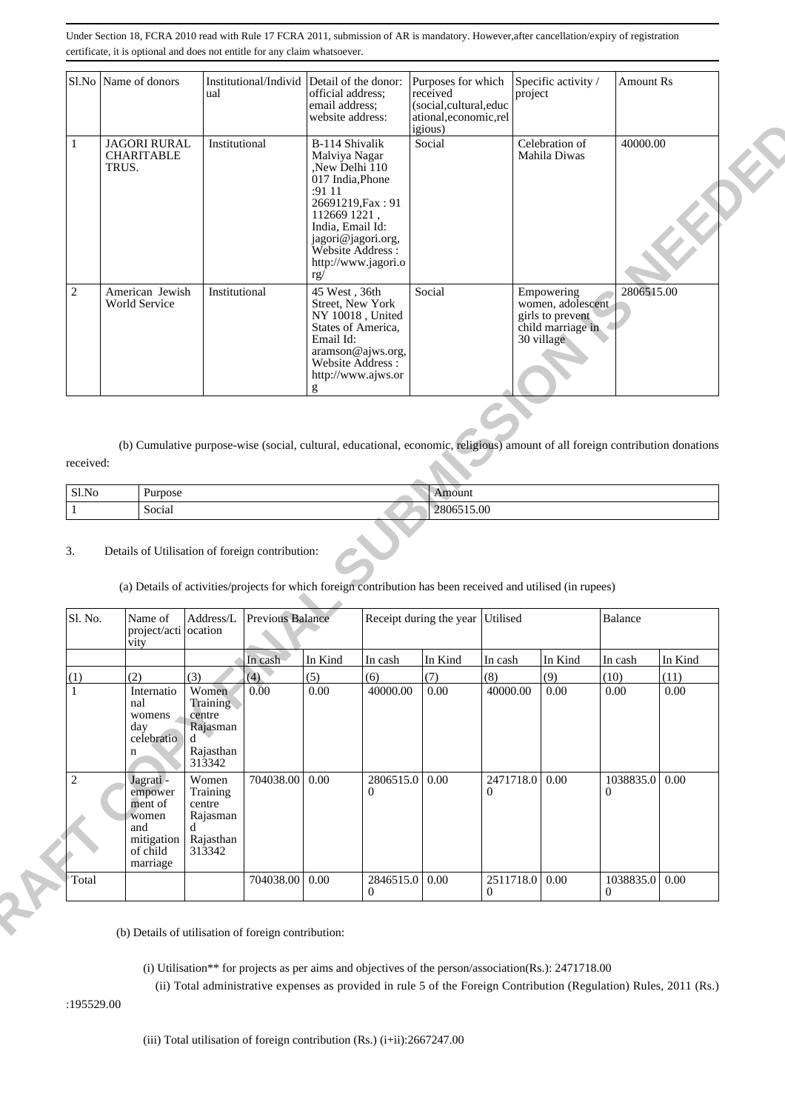|                | Sl.No   Name of donors                            | Institutional/Individ Detail of the donor:<br>ual | official address;<br>email address:<br>website address:                                                                                                                                                          | Purposes for which<br>received<br>(social, cultural, educ<br>ational, economic, rel<br><i>igious</i> ) | Specific activity /<br>project                                                         | <b>Amount Rs</b> |
|----------------|---------------------------------------------------|---------------------------------------------------|------------------------------------------------------------------------------------------------------------------------------------------------------------------------------------------------------------------|--------------------------------------------------------------------------------------------------------|----------------------------------------------------------------------------------------|------------------|
| 1              | <b>JAGORI RURAL</b><br><b>CHARITABLE</b><br>TRUS. | Institutional                                     | B-114 Shivalik<br>Malviya Nagar<br>,New Delhi 110<br>017 India, Phone<br>: 9111<br>26691219, Fax: 91<br>112669 1221,<br>India, Email Id:<br>jagori@jagori.org,<br>Website Address:<br>http://www.jagori.o<br>rg/ | Social                                                                                                 | Celebration of<br>Mahila Diwas                                                         | 40000.00         |
| $\overline{2}$ | American Jewish<br><b>World Service</b>           | Institutional                                     | 45 West, 36th<br>Street, New York<br>NY 10018, United<br>States of America,<br>Email Id:<br>aramson@ajws.org,<br>Website Address:<br>http://www.ajws.or<br>g                                                     | Social                                                                                                 | Empowering<br>women, adolescent<br>girls to prevent<br>child marriage in<br>30 village | 2806515.00       |

| Sl.No | Purpose | nount      |
|-------|---------|------------|
|       | Social  | 2806515.00 |

#### 3. Details of Utilisation of foreign contribution:

# (a) Details of activities/projects for which foreign contribution has been received and utilised (in rupees)

|              |       |                                                                                      |                                                                               |                                                 |                                                                                                                                                                                           |                                                                                                                               | <i>igious</i> )                  |                                  |                                                                                        |                       |                  |
|--------------|-------|--------------------------------------------------------------------------------------|-------------------------------------------------------------------------------|-------------------------------------------------|-------------------------------------------------------------------------------------------------------------------------------------------------------------------------------------------|-------------------------------------------------------------------------------------------------------------------------------|----------------------------------|----------------------------------|----------------------------------------------------------------------------------------|-----------------------|------------------|
|              | TRUS. | <b>JAGORI RURAL</b><br><b>CHARITABLE</b>                                             | Institutional                                                                 |                                                 | B-114 Shivalik<br>Malviya Nagar<br>New Delhi 110<br>017 India, Phone<br>:91 11<br>26691219, Fax: 91<br>112669 1221,<br>India, Email Id:<br>jagori@jagori.org,<br>Website Address :<br>rg/ | http://www.jagori.o                                                                                                           | Social                           |                                  | Celebration of<br>Mahila Diwas                                                         | 40000.00              |                  |
| $\mathbf{2}$ |       | American Jewish<br>World Service                                                     | Institutional                                                                 |                                                 | 45 West, 36th<br>Street, New York<br>States of America,<br>Email Id:<br>Website Address:<br>g                                                                                             | NY 10018, United<br>aramson@ajws.org,<br>http://www.ajws.or                                                                   | Social                           |                                  | Empowering<br>women, adolescent<br>girls to prevent<br>child marriage in<br>30 village | 2806515.00            |                  |
|              |       |                                                                                      |                                                                               |                                                 |                                                                                                                                                                                           |                                                                                                                               |                                  |                                  |                                                                                        |                       |                  |
| received:    |       |                                                                                      |                                                                               |                                                 |                                                                                                                                                                                           | (b) Cumulative purpose-wise (social, cultural, educational, economic, religious) amount of all foreign contribution donations |                                  |                                  |                                                                                        |                       |                  |
|              |       |                                                                                      |                                                                               |                                                 |                                                                                                                                                                                           |                                                                                                                               | Amount                           |                                  |                                                                                        |                       |                  |
| Sl.No        |       | Purpose                                                                              |                                                                               |                                                 |                                                                                                                                                                                           |                                                                                                                               |                                  |                                  |                                                                                        |                       |                  |
| 3.           |       | Social                                                                               |                                                                               | Details of Utilisation of foreign contribution: |                                                                                                                                                                                           |                                                                                                                               | 2806515.00                       |                                  |                                                                                        |                       |                  |
| Sl. No.      |       | Name of                                                                              | $\mathbf{Address}/\mathbf{L}$                                                 | Previous Balance                                |                                                                                                                                                                                           | (a) Details of activities/projects for which foreign contribution has been received and utilised (in rupees)                  | Receipt during the year Utilised |                                  |                                                                                        | Balance               |                  |
|              |       | project/acti ocation<br>vity                                                         |                                                                               |                                                 |                                                                                                                                                                                           |                                                                                                                               |                                  |                                  |                                                                                        |                       |                  |
|              |       |                                                                                      |                                                                               | In cash                                         | In Kind                                                                                                                                                                                   | In cash                                                                                                                       | In Kind                          | In cash                          | In Kind                                                                                | In cash               | In Kind          |
| (1)<br>1     |       | (2)<br>Internatio<br>nal<br>womens<br>day<br>celebratio<br>$\mathbf n$               | (3)<br>Women<br>Training<br>centre<br>Rajasman<br>d<br>Rajasthan              | (4)<br>0.00                                     | (5)<br>0.00                                                                                                                                                                               | (6)<br>40000.00                                                                                                               | (7)<br>0.00                      | (8)<br>40000.00                  | (9)<br>0.00                                                                            | (10)<br>0.00          | (11)<br>$0.00\,$ |
| $\sqrt{2}$   |       | Jagrati-<br>empower<br>ment of<br>women<br>and<br>mitigation<br>of child<br>marriage | 313342<br>Women<br>Training<br>centre<br>Rajasman<br>d<br>Rajasthan<br>313342 | 704038.00                                       | 0.00                                                                                                                                                                                      | 2806515.0<br>$\overline{0}$                                                                                                   | $\vert 0.00 \vert$               | 2471718.0 0.00<br>$\overline{0}$ |                                                                                        | 1038835.0<br>$\Omega$ | 0.00             |

- (i) Utilisation\*\* for projects as per aims and objectives of the person/association(Rs.): 2471718.00
- (ii) Total administrative expenses as provided in rule 5 of the Foreign Contribution (Regulation) Rules, 2011 (Rs.)

:195529.00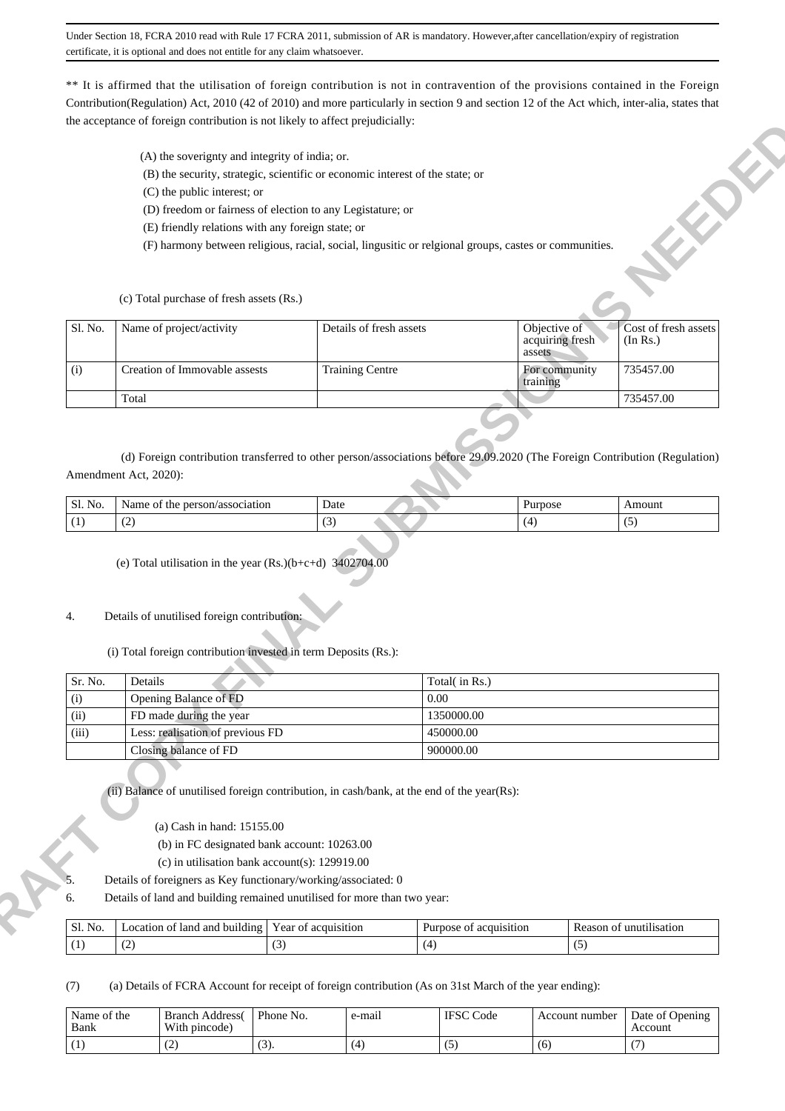\*\* It is affirmed that the utilisation of foreign contribution is not in contravention of the provisions contained in the Foreign Contribution(Regulation) Act, 2010 (42 of 2010) and more particularly in section 9 and section 12 of the Act which, inter-alia, states that the acceptance of foreign contribution is not likely to affect prejudicially:

- (A) the soverignty and integrity of india; or.
- (B) the security, strategic, scientific or economic interest of the state; or
- (C) the public interest; or
- (D) freedom or fairness of election to any Legistature; or
- (E) friendly relations with any foreign state; or
- (F) harmony between religious, racial, social, lingusitic or relgional groups, castes or communities.

| (A) the soverignty and integrity of india; or.<br>(B) the security, strategic, scientific or economic interest of the state; or<br>(C) the public interest; or<br>(D) freedom or fairness of election to any Legistature; or<br>(E) friendly relations with any foreign state; or<br>(F) harmony between religious, racial, social, lingusitic or relgional groups, castes or communities.<br>(c) Total purchase of fresh assets (Rs.)<br>Details of fresh assets<br>Objective of<br>Sl. No.<br>Name of project/activity<br>acquiring fresh<br>(In Rs.)<br>assets<br>Creation of Immovable assests<br><b>Training Centre</b><br>735457.00<br>For community<br>(i)<br>training<br>Total<br>735457.00<br>(d) Foreign contribution transferred to other person/associations before 29.09.2020 (The Foreign Contribution (Regulation)<br>Amendment Act, 2020):<br>Sl. No.<br>Name of the person/association<br>Date<br>Purpose<br>Amount<br>(2)<br>(5)<br>(1)<br>(3)<br>(4)<br>(e) Total utilisation in the year $(Rs.)(b+c+d)$ 3402704.00<br>Details of unutilised foreign contribution:<br>(i) Total foreign contribution invested in term Deposits (Rs.):<br>Sr. No.<br>Details<br>Total(in Rs.)<br>Opening Balance of FD<br>0.00<br>(i)<br>(ii)<br>FD made during the year<br>1350000.00<br>Less: realisation of previous FD<br>(iii)<br>450000.00<br>Closing balance of FD<br>900000.00<br>(ii) Balance of unutilised foreign contribution, in cash/bank, at the end of the year(Rs):<br>(a) Cash in hand: 15155.00<br>(b) in FC designated bank account: 10263.00<br>(c) in utilisation bank account(s): $129919.00$<br>Details of foreigners as Key functionary/working/associated: 0<br>Details of land and building remained unutilised for more than two year:<br>6.<br>Year of acquisition<br>Reason of unutilisation<br>Location of land and building<br>Purpose of acquisition<br>Sl. No. | 4. | the acceptance of foreign contribution is not fikely to affect prejudicially. |  |                      |
|----------------------------------------------------------------------------------------------------------------------------------------------------------------------------------------------------------------------------------------------------------------------------------------------------------------------------------------------------------------------------------------------------------------------------------------------------------------------------------------------------------------------------------------------------------------------------------------------------------------------------------------------------------------------------------------------------------------------------------------------------------------------------------------------------------------------------------------------------------------------------------------------------------------------------------------------------------------------------------------------------------------------------------------------------------------------------------------------------------------------------------------------------------------------------------------------------------------------------------------------------------------------------------------------------------------------------------------------------------------------------------------------------------------------------------------------------------------------------------------------------------------------------------------------------------------------------------------------------------------------------------------------------------------------------------------------------------------------------------------------------------------------------------------------------------------------------------------------------------------------------------------------------|----|-------------------------------------------------------------------------------|--|----------------------|
|                                                                                                                                                                                                                                                                                                                                                                                                                                                                                                                                                                                                                                                                                                                                                                                                                                                                                                                                                                                                                                                                                                                                                                                                                                                                                                                                                                                                                                                                                                                                                                                                                                                                                                                                                                                                                                                                                                    |    |                                                                               |  | 4                    |
|                                                                                                                                                                                                                                                                                                                                                                                                                                                                                                                                                                                                                                                                                                                                                                                                                                                                                                                                                                                                                                                                                                                                                                                                                                                                                                                                                                                                                                                                                                                                                                                                                                                                                                                                                                                                                                                                                                    |    |                                                                               |  |                      |
|                                                                                                                                                                                                                                                                                                                                                                                                                                                                                                                                                                                                                                                                                                                                                                                                                                                                                                                                                                                                                                                                                                                                                                                                                                                                                                                                                                                                                                                                                                                                                                                                                                                                                                                                                                                                                                                                                                    |    |                                                                               |  | Cost of fresh assets |
|                                                                                                                                                                                                                                                                                                                                                                                                                                                                                                                                                                                                                                                                                                                                                                                                                                                                                                                                                                                                                                                                                                                                                                                                                                                                                                                                                                                                                                                                                                                                                                                                                                                                                                                                                                                                                                                                                                    |    |                                                                               |  |                      |
|                                                                                                                                                                                                                                                                                                                                                                                                                                                                                                                                                                                                                                                                                                                                                                                                                                                                                                                                                                                                                                                                                                                                                                                                                                                                                                                                                                                                                                                                                                                                                                                                                                                                                                                                                                                                                                                                                                    |    |                                                                               |  |                      |
|                                                                                                                                                                                                                                                                                                                                                                                                                                                                                                                                                                                                                                                                                                                                                                                                                                                                                                                                                                                                                                                                                                                                                                                                                                                                                                                                                                                                                                                                                                                                                                                                                                                                                                                                                                                                                                                                                                    |    |                                                                               |  |                      |
|                                                                                                                                                                                                                                                                                                                                                                                                                                                                                                                                                                                                                                                                                                                                                                                                                                                                                                                                                                                                                                                                                                                                                                                                                                                                                                                                                                                                                                                                                                                                                                                                                                                                                                                                                                                                                                                                                                    |    |                                                                               |  |                      |
|                                                                                                                                                                                                                                                                                                                                                                                                                                                                                                                                                                                                                                                                                                                                                                                                                                                                                                                                                                                                                                                                                                                                                                                                                                                                                                                                                                                                                                                                                                                                                                                                                                                                                                                                                                                                                                                                                                    |    |                                                                               |  |                      |
|                                                                                                                                                                                                                                                                                                                                                                                                                                                                                                                                                                                                                                                                                                                                                                                                                                                                                                                                                                                                                                                                                                                                                                                                                                                                                                                                                                                                                                                                                                                                                                                                                                                                                                                                                                                                                                                                                                    |    |                                                                               |  |                      |
|                                                                                                                                                                                                                                                                                                                                                                                                                                                                                                                                                                                                                                                                                                                                                                                                                                                                                                                                                                                                                                                                                                                                                                                                                                                                                                                                                                                                                                                                                                                                                                                                                                                                                                                                                                                                                                                                                                    |    |                                                                               |  |                      |
|                                                                                                                                                                                                                                                                                                                                                                                                                                                                                                                                                                                                                                                                                                                                                                                                                                                                                                                                                                                                                                                                                                                                                                                                                                                                                                                                                                                                                                                                                                                                                                                                                                                                                                                                                                                                                                                                                                    |    |                                                                               |  |                      |
|                                                                                                                                                                                                                                                                                                                                                                                                                                                                                                                                                                                                                                                                                                                                                                                                                                                                                                                                                                                                                                                                                                                                                                                                                                                                                                                                                                                                                                                                                                                                                                                                                                                                                                                                                                                                                                                                                                    |    |                                                                               |  |                      |
|                                                                                                                                                                                                                                                                                                                                                                                                                                                                                                                                                                                                                                                                                                                                                                                                                                                                                                                                                                                                                                                                                                                                                                                                                                                                                                                                                                                                                                                                                                                                                                                                                                                                                                                                                                                                                                                                                                    |    |                                                                               |  |                      |
| (2)<br>(3)<br>(4)<br>(5)<br>(1)                                                                                                                                                                                                                                                                                                                                                                                                                                                                                                                                                                                                                                                                                                                                                                                                                                                                                                                                                                                                                                                                                                                                                                                                                                                                                                                                                                                                                                                                                                                                                                                                                                                                                                                                                                                                                                                                    |    |                                                                               |  |                      |

| Sl. No.<br>. | /association<br>person <sub>/</sub><br>vame<br>.ne | Date<br>.                     | <b>DOSC</b> | moun |
|--------------|----------------------------------------------------|-------------------------------|-------------|------|
|              | $\sqrt{2}$<br>╰                                    | $\overline{\phantom{a}}$<br>້ | . .         |      |

## 4. Details of unutilised foreign contribution:

| Sr. No. | Details                          | Total( in Rs.) |
|---------|----------------------------------|----------------|
| (i)     | Opening Balance of FD            | 0.00           |
| (ii)    | FD made during the year          | 1350000.00     |
| (iii)   | Less: realisation of previous FD | 450000.00      |
|         | Closing balance of FD            | 900000.00      |

#### 5. Details of foreigners as Key functionary/working/associated: 0

| $\sim$<br>Sl.<br>No. | of land<br>and<br>. building<br>.ocation<br>__ | - -<br>r ear<br>acquisition<br>O1 | Purpose<br>acquisition<br>() ' | lisation<br>unu.<br>'eason<br>ЭΙ<br>n. |
|----------------------|------------------------------------------------|-----------------------------------|--------------------------------|----------------------------------------|
| $\mathbf{I}$         | . <u>. .</u>                                   | $\sim$                            |                                |                                        |

(7) (a) Details of FCRA Account for receipt of foreign contribution (As on 31st March of the year ending):

| Name of the<br>Bank | <b>Branch Address</b><br>With pincode) | Phone No. | e-mail | <b>IFSC</b> Code | Account number | Date of Opening<br>Account |
|---------------------|----------------------------------------|-----------|--------|------------------|----------------|----------------------------|
|                     | ∽                                      | . J J .   | Ω.     |                  | 61             |                            |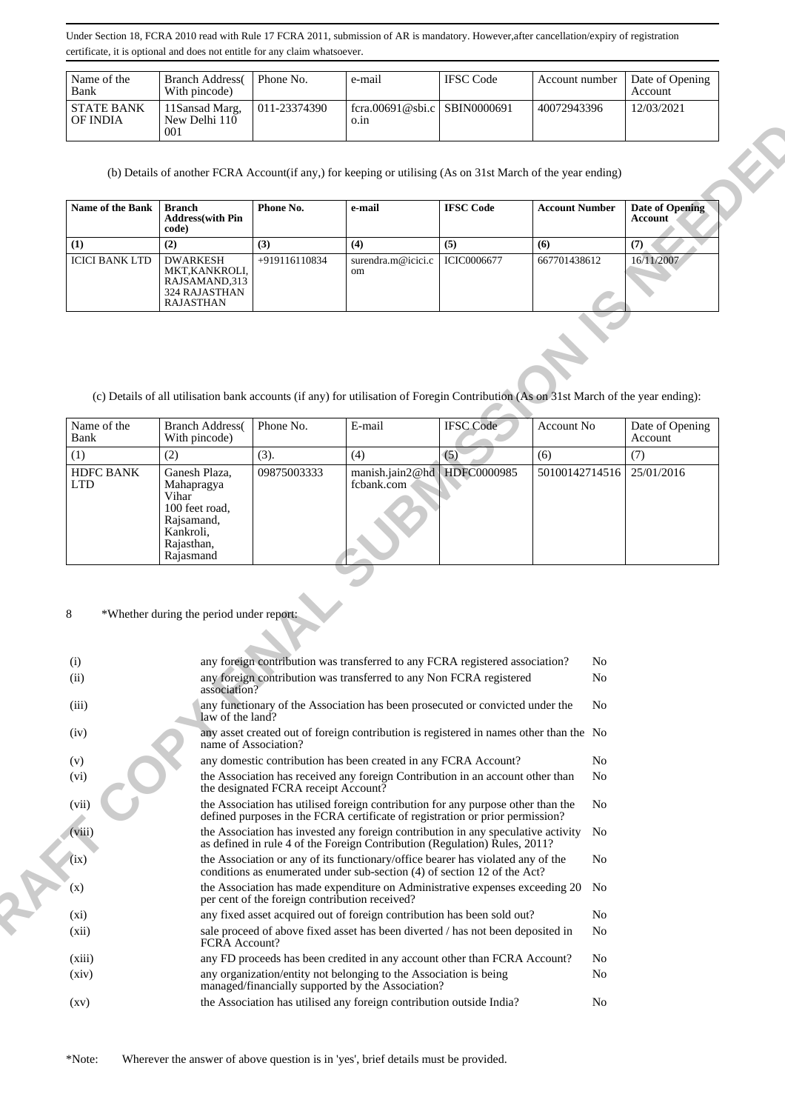| Name of the<br>Bank           | <b>Branch Address</b><br>With pincode)  | Phone No.    | e-mail                               | <b>IFSC</b> Code | Account number | Date of Opening<br>Account |
|-------------------------------|-----------------------------------------|--------------|--------------------------------------|------------------|----------------|----------------------------|
| <b>STATE BANK</b><br>OF INDIA | 11 Sansad Marg.<br>New Delhi 110<br>001 | 011-23374390 | fcra.00691@sbi.c SBIN0000691<br>0.1n |                  | 40072943396    | 12/03/2021                 |

| <b>Name of the Bank</b> | Branch<br><b>Address</b> (with Pin<br>code)                                             | Phone No.       | e-mail                              | <b>IFSC Code</b> | <b>Account Number</b> | Date of Opening<br>Account |
|-------------------------|-----------------------------------------------------------------------------------------|-----------------|-------------------------------------|------------------|-----------------------|----------------------------|
|                         | (2)                                                                                     | (3)             | (4)                                 | (5)              | (6)                   | (7)                        |
| <b>ICICI BANK LTD</b>   | <b>DWARKESH</b><br>MKT, KANKROLI,<br>RAJSAMAND,313<br>324 RAJASTHAN<br><b>RAJASTHAN</b> | $+919116110834$ | surendra.m@icici.c<br><sub>om</sub> | ICIC0006677      | 667701438612          | 16/11/2007                 |

| Name of the<br>Bank            | <b>Branch Address</b><br>With pincode)                                                                       | Phone No.   | E-mail                                    | <b>IFSC</b> Code | Account No     | Date of Opening<br>Account |
|--------------------------------|--------------------------------------------------------------------------------------------------------------|-------------|-------------------------------------------|------------------|----------------|----------------------------|
| (1)                            | (2)                                                                                                          | (3).        | (4)                                       | (5)              | (6)            |                            |
| <b>HDFC BANK</b><br><b>LTD</b> | Ganesh Plaza,<br>Mahapragya<br>Vihar<br>100 feet road,<br>Rajsamand,<br>Kankroli,<br>Rajasthan,<br>Rajasmand | 09875003333 | manish.jain2@hd HDFC0000985<br>fcbank.com |                  | 50100142714516 | 25/01/2016                 |

### 8 \*Whether during the period under report:

| UF INDIA                       |                       | New Delli 110<br>001                                                                                                                                                                                      |                                                                                        | O.III                                                                                                                                                         |                  |                       |                |                        |
|--------------------------------|-----------------------|-----------------------------------------------------------------------------------------------------------------------------------------------------------------------------------------------------------|----------------------------------------------------------------------------------------|---------------------------------------------------------------------------------------------------------------------------------------------------------------|------------------|-----------------------|----------------|------------------------|
|                                |                       |                                                                                                                                                                                                           |                                                                                        | (b) Details of another FCRA Account(if any,) for keeping or utilising (As on 31st March of the year ending)                                                   |                  |                       |                |                        |
|                                | Name of the Bank      | <b>Branch</b><br><b>Address</b> (with Pin                                                                                                                                                                 | Phone No.                                                                              | e-mail                                                                                                                                                        | <b>IFSC Code</b> | <b>Account Number</b> | <b>Account</b> | <b>Date of Opening</b> |
|                                |                       | code)                                                                                                                                                                                                     |                                                                                        |                                                                                                                                                               |                  |                       |                |                        |
| (1)                            |                       | (2)                                                                                                                                                                                                       | (3)                                                                                    | (4)                                                                                                                                                           | (5)              | (6)                   | (7)            |                        |
|                                | <b>ICICI BANK LTD</b> | <b>DWARKESH</b><br>MKT, KANKROLI,<br>RAJSAMAND, 313<br>324 RAJASTHAN<br><b>RAJASTHAN</b>                                                                                                                  | +919116110834                                                                          | surendra.m@icici.c<br>om                                                                                                                                      | ICIC0006677      | 667701438612          | 16/11/2007     |                        |
|                                |                       |                                                                                                                                                                                                           |                                                                                        | (c) Details of all utilisation bank accounts (if any) for utilisation of Foregin Contribution (As on 31st March of the year ending):                          |                  |                       |                |                        |
| Name of the<br>Bank            |                       | <b>Branch Address</b> (<br>With pincode)                                                                                                                                                                  | Phone No.                                                                              | E-mail                                                                                                                                                        | <b>IFSC</b> Code | Account No            | Account        | Date of Opening        |
| (1)                            |                       | (2)                                                                                                                                                                                                       | (3).                                                                                   | (4)                                                                                                                                                           | (5)              | (6)                   | (7)            |                        |
| <b>HDFC BANK</b><br><b>LTD</b> |                       | Ganesh Plaza,<br>Mahapragya<br>Vihar<br>100 feet road,<br>Rajsamand,<br>Kankroli,<br>Rajasthan,<br>Rajasmand                                                                                              | 09875003333                                                                            | manish.jain2@hd<br>fcbank.com                                                                                                                                 | HDFC0000985      | 50100142714516        | 25/01/2016     |                        |
| 8<br>(i)<br>(ii)               |                       | *Whether during the period under report:<br>association?                                                                                                                                                  |                                                                                        | any foreign contribution was transferred to any FCRA registered association?<br>any foreign contribution was transferred to any Non FCRA registered           |                  |                       | No<br>No       |                        |
| (iii)                          |                       | any functionary of the Association has been prosecuted or convicted under the<br>law of the land?                                                                                                         |                                                                                        |                                                                                                                                                               |                  |                       |                |                        |
| (iv)                           |                       | name of Association?                                                                                                                                                                                      | any asset created out of foreign contribution is registered in names other than the No |                                                                                                                                                               |                  |                       |                |                        |
| (v)<br>(vi)                    |                       | any domestic contribution has been created in any FCRA Account?<br>the Association has received any foreign Contribution in an account other than                                                         |                                                                                        |                                                                                                                                                               |                  |                       |                |                        |
| (vii)                          |                       | the designated FCRA receipt Account?<br>the Association has utilised foreign contribution for any purpose other than the<br>defined purposes in the FCRA certificate of registration or prior permission? |                                                                                        |                                                                                                                                                               |                  |                       |                |                        |
| (viii)                         |                       |                                                                                                                                                                                                           |                                                                                        | the Association has invested any foreign contribution in any speculative activity No                                                                          |                  |                       |                |                        |
|                                |                       |                                                                                                                                                                                                           |                                                                                        |                                                                                                                                                               |                  |                       |                |                        |
| (ix)                           |                       |                                                                                                                                                                                                           |                                                                                        | as defined in rule 4 of the Foreign Contribution (Regulation) Rules, 2011?<br>the Association or any of its functionary/office bearer has violated any of the |                  |                       | No             |                        |
| (x)                            |                       |                                                                                                                                                                                                           |                                                                                        | conditions as enumerated under sub-section (4) of section 12 of the Act?<br>the Association has made expenditure on Administrative expenses exceeding 20 No   |                  |                       |                |                        |
|                                |                       |                                                                                                                                                                                                           | per cent of the foreign contribution received?                                         |                                                                                                                                                               |                  |                       |                |                        |
| $(x_i)$<br>(xii)               |                       | FCRA Account?                                                                                                                                                                                             |                                                                                        | any fixed asset acquired out of foreign contribution has been sold out?<br>sale proceed of above fixed asset has been diverted / has not been deposited in    |                  |                       | No<br>No       |                        |
| (xiii)                         |                       |                                                                                                                                                                                                           |                                                                                        | any FD proceeds has been credited in any account other than FCRA Account?                                                                                     |                  |                       | No             |                        |
| (xiv)                          |                       |                                                                                                                                                                                                           |                                                                                        | any organization/entity not belonging to the Association is being<br>managed/financially supported by the Association?                                        |                  |                       | No             |                        |